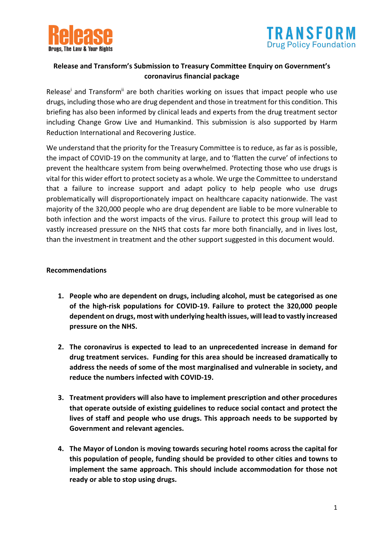



## **Release and Transform's Submission to Treasury Committee Enquiry on Government's coronavirus financial package**

Release<sup>i</sup> and Transform<sup>ii</sup> are both charities working on issues that impact people who use drugs, including those who are drug dependent and those in treatment for this condition. This briefing has also been informed by clinical leads and experts from the drug treatment sector including Change Grow Live and Humankind. This submission is also supported by Harm Reduction International and Recovering Justice.

We understand that the priority for the Treasury Committee is to reduce, as far as is possible, the impact of COVID-19 on the community at large, and to 'flatten the curve' of infections to prevent the healthcare system from being overwhelmed. Protecting those who use drugs is vital for this wider effort to protect society as a whole. We urge the Committee to understand that a failure to increase support and adapt policy to help people who use drugs problematically will disproportionately impact on healthcare capacity nationwide. The vast majority of the 320,000 people who are drug dependent are liable to be more vulnerable to both infection and the worst impacts of the virus. Failure to protect this group will lead to vastly increased pressure on the NHS that costs far more both financially, and in lives lost, than the investment in treatment and the other support suggested in this document would.

#### **Recommendations**

- **1. People who are dependent on drugs, including alcohol, must be categorised as one of the high-risk populations for COVID-19. Failure to protect the 320,000 people dependent on drugs, most with underlying health issues, will lead to vastly increased pressure on the NHS.**
- **2. The coronavirus is expected to lead to an unprecedented increase in demand for drug treatment services. Funding for this area should be increased dramatically to address the needs of some of the most marginalised and vulnerable in society, and reduce the numbers infected with COVID-19.**
- **3. Treatment providers will also have to implement prescription and other procedures that operate outside of existing guidelines to reduce social contact and protect the lives of staff and people who use drugs. This approach needs to be supported by Government and relevant agencies.**
- **4. The Mayor of London is moving towards securing hotel rooms across the capital for this population of people, funding should be provided to other cities and towns to implement the same approach. This should include accommodation for those not ready or able to stop using drugs.**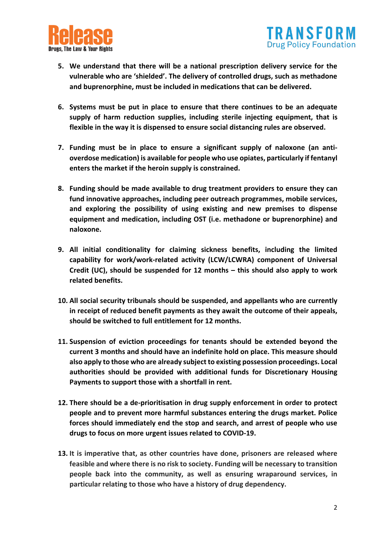



- **5. We understand that there will be a national prescription delivery service for the vulnerable who are 'shielded'. The delivery of controlled drugs, such as methadone and buprenorphine, must be included in medications that can be delivered.**
- **6. Systems must be put in place to ensure that there continues to be an adequate supply of harm reduction supplies, including sterile injecting equipment, that is flexible in the way it is dispensed to ensure social distancing rules are observed.**
- **7. Funding must be in place to ensure a significant supply of naloxone (an antioverdose medication) is available for people who use opiates, particularly if fentanyl enters the market if the heroin supply is constrained.**
- **8. Funding should be made available to drug treatment providers to ensure they can fund innovative approaches, including peer outreach programmes, mobile services, and exploring the possibility of using existing and new premises to dispense equipment and medication, including OST (i.e. methadone or buprenorphine) and naloxone.**
- **9. All initial conditionality for claiming sickness benefits, including the limited capability for work/work-related activity (LCW/LCWRA) component of Universal Credit (UC), should be suspended for 12 months – this should also apply to work related benefits.**
- **10. All social security tribunals should be suspended, and appellants who are currently in receipt of reduced benefit payments as they await the outcome of their appeals, should be switched to full entitlement for 12 months.**
- **11. Suspension of eviction proceedings for tenants should be extended beyond the current 3 months and should have an indefinite hold on place. This measure should also apply to those who are already subject to existing possession proceedings. Local authorities should be provided with additional funds for Discretionary Housing Payments to support those with a shortfall in rent.**
- **12. There should be a de-prioritisation in drug supply enforcement in order to protect people and to prevent more harmful substances entering the drugs market. Police forces should immediately end the stop and search, and arrest of people who use drugs to focus on more urgent issues related to COVID-19.**
- **13. It is imperative that, as other countries have done, prisoners are released where feasible and where there is no risk to society. Funding will be necessary to transition people back into the community, as well as ensuring wraparound services, in particular relating to those who have a history of drug dependency.**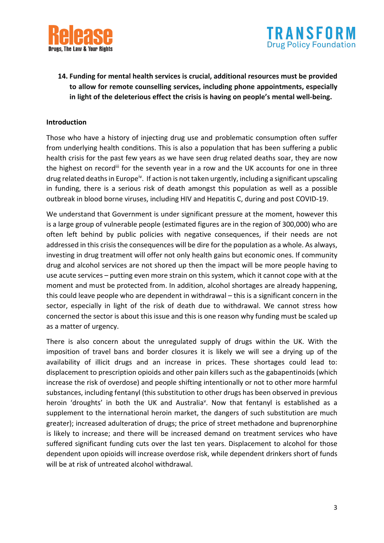



**14. Funding for mental health services is crucial, additional resources must be provided to allow for remote counselling services, including phone appointments, especially in light of the deleterious effect the crisis is having on people's mental well-being.**

#### **Introduction**

Those who have a history of injecting drug use and problematic consumption often suffer from underlying health conditions. This is also a population that has been suffering a public health crisis for the past few years as we have seen drug related deaths soar, they are now the highest on recordiii for the seventh year in a row and the UK accounts for one in three drug related deaths in Europe<sup>iv</sup>. If action is not taken urgently, including a significant upscaling in funding, there is a serious risk of death amongst this population as well as a possible outbreak in blood borne viruses, including HIV and Hepatitis C, during and post COVID-19.

We understand that Government is under significant pressure at the moment, however this is a large group of vulnerable people (estimated figures are in the region of 300,000) who are often left behind by public policies with negative consequences, if their needs are not addressed in this crisis the consequences will be dire for the population as a whole. As always, investing in drug treatment will offer not only health gains but economic ones. If community drug and alcohol services are not shored up then the impact will be more people having to use acute services – putting even more strain on this system, which it cannot cope with at the moment and must be protected from. In addition, alcohol shortages are already happening, this could leave people who are dependent in withdrawal – this is a significant concern in the sector, especially in light of the risk of death due to withdrawal. We cannot stress how concerned the sector is about this issue and this is one reason why funding must be scaled up as a matter of urgency.

There is also concern about the unregulated supply of drugs within the UK. With the imposition of travel bans and border closures it is likely we will see a drying up of the availability of illicit drugs and an increase in prices. These shortages could lead to: displacement to prescription opioids and other pain killers such as the gabapentinoids (which increase the risk of overdose) and people shifting intentionally or not to other more harmful substances, including fentanyl (this substitution to other drugs has been observed in previous heroin 'droughts' in both the UK and Australia<sup>v</sup>. Now that fentanyl is established as a supplement to the international heroin market, the dangers of such substitution are much greater); increased adulteration of drugs; the price of street methadone and buprenorphine is likely to increase; and there will be increased demand on treatment services who have suffered significant funding cuts over the last ten years. Displacement to alcohol for those dependent upon opioids will increase overdose risk, while dependent drinkers short of funds will be at risk of untreated alcohol withdrawal.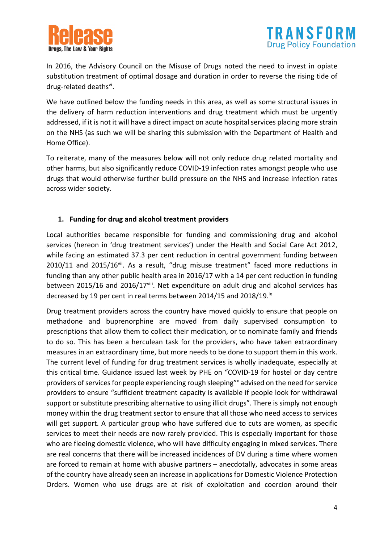



In 2016, the Advisory Council on the Misuse of Drugs noted the need to invest in opiate substitution treatment of optimal dosage and duration in order to reverse the rising tide of drug-related deaths<sup>vi</sup>.

We have outlined below the funding needs in this area, as well as some structural issues in the delivery of harm reduction interventions and drug treatment which must be urgently addressed, if it is not it will have a direct impact on acute hospital services placing more strain on the NHS (as such we will be sharing this submission with the Department of Health and Home Office).

To reiterate, many of the measures below will not only reduce drug related mortality and other harms, but also significantly reduce COVID-19 infection rates amongst people who use drugs that would otherwise further build pressure on the NHS and increase infection rates across wider society.

### **1. Funding for drug and alcohol treatment providers**

Local authorities became responsible for funding and commissioning drug and alcohol services (hereon in 'drug treatment services') under the Health and Social Care Act 2012, while facing an estimated 37.3 per cent reduction in central government funding between 2010/11 and 2015/16vii. As a result, "drug misuse treatment" faced more reductions in funding than any other public health area in 2016/17 with a 14 per cent reduction in funding between 2015/16 and 2016/17viii. Net expenditure on adult drug and alcohol services has decreased by 19 per cent in real terms between 2014/15 and 2018/19.<sup>ix</sup>

Drug treatment providers across the country have moved quickly to ensure that people on methadone and buprenorphine are moved from daily supervised consumption to prescriptions that allow them to collect their medication, or to nominate family and friends to do so. This has been a herculean task for the providers, who have taken extraordinary measures in an extraordinary time, but more needs to be done to support them in this work. The current level of funding for drug treatment services is wholly inadequate, especially at this critical time. Guidance issued last week by PHE on "COVID-19 for hostel or day centre providers of services for people experiencing rough sleeping" advised on the need for service providers to ensure "sufficient treatment capacity is available if people look for withdrawal support or substitute prescribing alternative to using illicit drugs". There is simply not enough money within the drug treatment sector to ensure that all those who need access to services will get support. A particular group who have suffered due to cuts are women, as specific services to meet their needs are now rarely provided. This is especially important for those who are fleeing domestic violence, who will have difficulty engaging in mixed services. There are real concerns that there will be increased incidences of DV during a time where women are forced to remain at home with abusive partners – anecdotally, advocates in some areas of the country have already seen an increase in applications for Domestic Violence Protection Orders. Women who use drugs are at risk of exploitation and coercion around their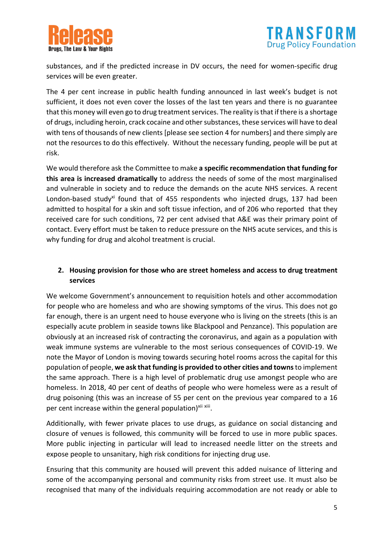



substances, and if the predicted increase in DV occurs, the need for women-specific drug services will be even greater.

The 4 per cent increase in public health funding announced in last week's budget is not sufficient, it does not even cover the losses of the last ten years and there is no guarantee that this money will even go to drug treatment services. The reality is that if there is a shortage of drugs, including heroin, crack cocaine and other substances, these services will have to deal with tens of thousands of new clients [please see section 4 for numbers] and there simply are not the resources to do this effectively. Without the necessary funding, people will be put at risk.

We would therefore ask the Committee to make **a specific recommendation that funding for this area is increased dramatically** to address the needs of some of the most marginalised and vulnerable in society and to reduce the demands on the acute NHS services. A recent London-based study<sup>xi</sup> found that of 455 respondents who injected drugs, 137 had been admitted to hospital for a skin and soft tissue infection, and of 206 who reported that they received care for such conditions, 72 per cent advised that A&E was their primary point of contact. Every effort must be taken to reduce pressure on the NHS acute services, and this is why funding for drug and alcohol treatment is crucial.

### **2. Housing provision for those who are street homeless and access to drug treatment services**

We welcome Government's announcement to requisition hotels and other accommodation for people who are homeless and who are showing symptoms of the virus. This does not go far enough, there is an urgent need to house everyone who is living on the streets (this is an especially acute problem in seaside towns like Blackpool and Penzance). This population are obviously at an increased risk of contracting the coronavirus, and again as a population with weak immune systems are vulnerable to the most serious consequences of COVID-19. We note the Mayor of London is moving towards securing hotel rooms across the capital for this population of people, **we ask that funding is provided to other cities and towns**to implement the same approach. There is a high level of problematic drug use amongst people who are homeless. In 2018, 40 per cent of deaths of people who were homeless were as a result of drug poisoning (this was an increase of 55 per cent on the previous year compared to a 16 per cent increase within the general population)<sup>xii xiii</sup>.

Additionally, with fewer private places to use drugs, as guidance on social distancing and closure of venues is followed, this community will be forced to use in more public spaces. More public injecting in particular will lead to increased needle litter on the streets and expose people to unsanitary, high risk conditions for injecting drug use.

Ensuring that this community are housed will prevent this added nuisance of littering and some of the accompanying personal and community risks from street use. It must also be recognised that many of the individuals requiring accommodation are not ready or able to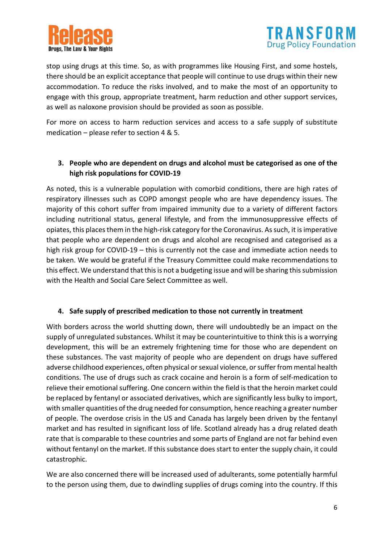



stop using drugs at this time. So, as with programmes like Housing First, and some hostels, there should be an explicit acceptance that people will continue to use drugs within their new accommodation. To reduce the risks involved, and to make the most of an opportunity to engage with this group, appropriate treatment, harm reduction and other support services, as well as naloxone provision should be provided as soon as possible.

For more on access to harm reduction services and access to a safe supply of substitute medication – please refer to section 4 & 5.

# **3. People who are dependent on drugs and alcohol must be categorised as one of the high risk populations for COVID-19**

As noted, this is a vulnerable population with comorbid conditions, there are high rates of respiratory illnesses such as COPD amongst people who are have dependency issues. The majority of this cohort suffer from impaired immunity due to a variety of different factors including nutritional status, general lifestyle, and from the immunosuppressive effects of opiates, this places them in the high-risk category for the Coronavirus. As such, it is imperative that people who are dependent on drugs and alcohol are recognised and categorised as a high risk group for COVID-19 – this is currently not the case and immediate action needs to be taken. We would be grateful if the Treasury Committee could make recommendations to this effect. We understand that this is not a budgeting issue and will be sharing this submission with the Health and Social Care Select Committee as well.

### **4. Safe supply of prescribed medication to those not currently in treatment**

With borders across the world shutting down, there will undoubtedly be an impact on the supply of unregulated substances. Whilst it may be counterintuitive to think this is a worrying development, this will be an extremely frightening time for those who are dependent on these substances. The vast majority of people who are dependent on drugs have suffered adverse childhood experiences, often physical or sexual violence, or suffer from mental health conditions. The use of drugs such as crack cocaine and heroin is a form of self-medication to relieve their emotional suffering. One concern within the field is that the heroin market could be replaced by fentanyl or associated derivatives, which are significantly less bulky to import, with smaller quantities of the drug needed for consumption, hence reaching a greater number of people. The overdose crisis in the US and Canada has largely been driven by the fentanyl market and has resulted in significant loss of life. Scotland already has a drug related death rate that is comparable to these countries and some parts of England are not far behind even without fentanyl on the market. If this substance does start to enter the supply chain, it could catastrophic.

We are also concerned there will be increased used of adulterants, some potentially harmful to the person using them, due to dwindling supplies of drugs coming into the country. If this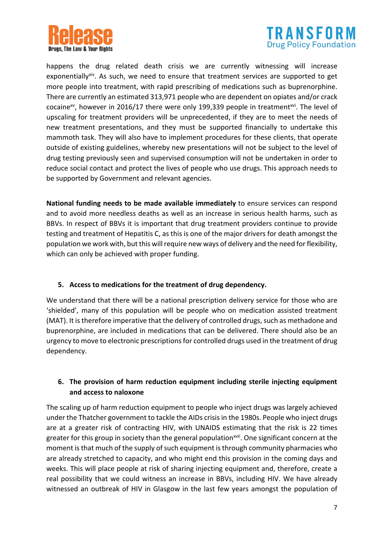



happens the drug related death crisis we are currently witnessing will increase exponentially<sup>xiv</sup>. As such, we need to ensure that treatment services are supported to get more people into treatment, with rapid prescribing of medications such as buprenorphine. There are currently an estimated 313,971 people who are dependent on opiates and/or crack cocaine<sup>xv</sup>, however in 2016/17 there were only 199,339 people in treatment<sup>xvi</sup>. The level of upscaling for treatment providers will be unprecedented, if they are to meet the needs of new treatment presentations, and they must be supported financially to undertake this mammoth task. They will also have to implement procedures for these clients, that operate outside of existing guidelines, whereby new presentations will not be subject to the level of drug testing previously seen and supervised consumption will not be undertaken in order to reduce social contact and protect the lives of people who use drugs. This approach needs to be supported by Government and relevant agencies.

**National funding needs to be made available immediately** to ensure services can respond and to avoid more needless deaths as well as an increase in serious health harms, such as BBVs. In respect of BBVs it is important that drug treatment providers continue to provide testing and treatment of Hepatitis C, as this is one of the major drivers for death amongst the population we work with, but this will require new ways of delivery and the need for flexibility, which can only be achieved with proper funding.

### **5. Access to medications for the treatment of drug dependency.**

We understand that there will be a national prescription delivery service for those who are 'shielded', many of this population will be people who on medication assisted treatment (MAT). It is therefore imperative that the delivery of controlled drugs, such as methadone and buprenorphine, are included in medications that can be delivered. There should also be an urgency to move to electronic prescriptions for controlled drugs used in the treatment of drug dependency.

# **6. The provision of harm reduction equipment including sterile injecting equipment and access to naloxone**

The scaling up of harm reduction equipment to people who inject drugs was largely achieved under the Thatcher government to tackle the AIDs crisis in the 1980s. People who inject drugs are at a greater risk of contracting HIV, with UNAIDS estimating that the risk is 22 times greater for this group in society than the general population<sup>xvii</sup>. One significant concern at the moment is that much of the supply of such equipment is through community pharmacies who are already stretched to capacity, and who might end this provision in the coming days and weeks. This will place people at risk of sharing injecting equipment and, therefore, create a real possibility that we could witness an increase in BBVs, including HIV. We have already witnessed an outbreak of HIV in Glasgow in the last few years amongst the population of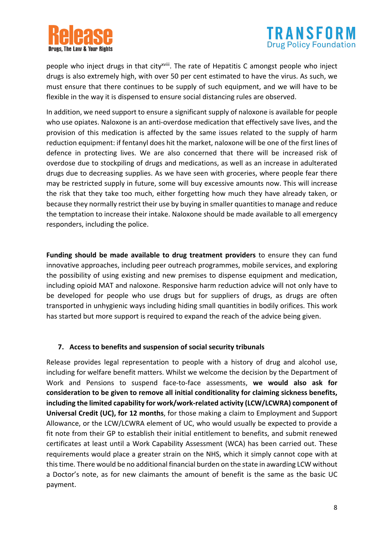



people who inject drugs in that city<sup>xviii</sup>. The rate of Hepatitis C amongst people who inject drugs is also extremely high, with over 50 per cent estimated to have the virus. As such, we must ensure that there continues to be supply of such equipment, and we will have to be flexible in the way it is dispensed to ensure social distancing rules are observed.

In addition, we need support to ensure a significant supply of naloxone is available for people who use opiates. Naloxone is an anti-overdose medication that effectively save lives, and the provision of this medication is affected by the same issues related to the supply of harm reduction equipment: if fentanyl does hit the market, naloxone will be one of the first lines of defence in protecting lives. We are also concerned that there will be increased risk of overdose due to stockpiling of drugs and medications, as well as an increase in adulterated drugs due to decreasing supplies. As we have seen with groceries, where people fear there may be restricted supply in future, some will buy excessive amounts now. This will increase the risk that they take too much, either forgetting how much they have already taken, or because they normally restrict their use by buying in smaller quantities to manage and reduce the temptation to increase their intake. Naloxone should be made available to all emergency responders, including the police.

**Funding should be made available to drug treatment providers** to ensure they can fund innovative approaches, including peer outreach programmes, mobile services, and exploring the possibility of using existing and new premises to dispense equipment and medication, including opioid MAT and naloxone. Responsive harm reduction advice will not only have to be developed for people who use drugs but for suppliers of drugs, as drugs are often transported in unhygienic ways including hiding small quantities in bodily orifices. This work has started but more support is required to expand the reach of the advice being given.

### **7. Access to benefits and suspension of social security tribunals**

Release provides legal representation to people with a history of drug and alcohol use, including for welfare benefit matters. Whilst we welcome the decision by the Department of Work and Pensions to suspend face-to-face assessments, **we would also ask for consideration to be given to remove all initial conditionality for claiming sickness benefits, including the limited capability for work/work-related activity (LCW/LCWRA) component of Universal Credit (UC), for 12 months**, for those making a claim to Employment and Support Allowance, or the LCW/LCWRA element of UC, who would usually be expected to provide a fit note from their GP to establish their initial entitlement to benefits, and submit renewed certificates at least until a Work Capability Assessment (WCA) has been carried out. These requirements would place a greater strain on the NHS, which it simply cannot cope with at this time. There would be no additional financial burden on the state in awarding LCW without a Doctor's note, as for new claimants the amount of benefit is the same as the basic UC payment.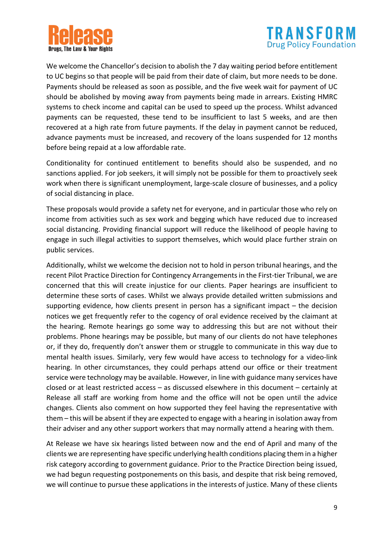



We welcome the Chancellor's decision to abolish the 7 day waiting period before entitlement to UC begins so that people will be paid from their date of claim, but more needs to be done. Payments should be released as soon as possible, and the five week wait for payment of UC should be abolished by moving away from payments being made in arrears. Existing HMRC systems to check income and capital can be used to speed up the process. Whilst advanced payments can be requested, these tend to be insufficient to last 5 weeks, and are then recovered at a high rate from future payments. If the delay in payment cannot be reduced, advance payments must be increased, and recovery of the loans suspended for 12 months before being repaid at a low affordable rate.

Conditionality for continued entitlement to benefits should also be suspended, and no sanctions applied. For job seekers, it will simply not be possible for them to proactively seek work when there is significant unemployment, large-scale closure of businesses, and a policy of social distancing in place.

These proposals would provide a safety net for everyone, and in particular those who rely on income from activities such as sex work and begging which have reduced due to increased social distancing. Providing financial support will reduce the likelihood of people having to engage in such illegal activities to support themselves, which would place further strain on public services.

Additionally, whilst we welcome the decision not to hold in person tribunal hearings, and the recent Pilot Practice Direction for Contingency Arrangements in the First-tier Tribunal, we are concerned that this will create injustice for our clients. Paper hearings are insufficient to determine these sorts of cases. Whilst we always provide detailed written submissions and supporting evidence, how clients present in person has a significant impact – the decision notices we get frequently refer to the cogency of oral evidence received by the claimant at the hearing. Remote hearings go some way to addressing this but are not without their problems. Phone hearings may be possible, but many of our clients do not have telephones or, if they do, frequently don't answer them or struggle to communicate in this way due to mental health issues. Similarly, very few would have access to technology for a video-link hearing. In other circumstances, they could perhaps attend our office or their treatment service were technology may be available. However, in line with guidance many services have closed or at least restricted access – as discussed elsewhere in this document – certainly at Release all staff are working from home and the office will not be open until the advice changes. Clients also comment on how supported they feel having the representative with them – this will be absent if they are expected to engage with a hearing in isolation away from their adviser and any other support workers that may normally attend a hearing with them.

At Release we have six hearings listed between now and the end of April and many of the clients we are representing have specific underlying health conditions placing them in a higher risk category according to government guidance. Prior to the Practice Direction being issued, we had begun requesting postponements on this basis, and despite that risk being removed, we will continue to pursue these applications in the interests of justice. Many of these clients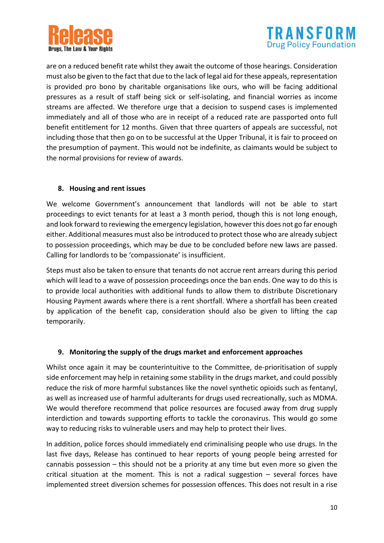



are on a reduced benefit rate whilst they await the outcome of those hearings. Consideration must also be given to the fact that due to the lack of legal aid for these appeals, representation is provided pro bono by charitable organisations like ours, who will be facing additional pressures as a result of staff being sick or self-isolating, and financial worries as income streams are affected. We therefore urge that a decision to suspend cases is implemented immediately and all of those who are in receipt of a reduced rate are passported onto full benefit entitlement for 12 months. Given that three quarters of appeals are successful, not including those that then go on to be successful at the Upper Tribunal, it is fair to proceed on the presumption of payment. This would not be indefinite, as claimants would be subject to the normal provisions for review of awards.

### **8. Housing and rent issues**

We welcome Government's announcement that landlords will not be able to start proceedings to evict tenants for at least a 3 month period, though this is not long enough, and look forward to reviewing the emergency legislation, however this does not go far enough either. Additional measures must also be introduced to protect those who are already subject to possession proceedings, which may be due to be concluded before new laws are passed. Calling for landlords to be 'compassionate' is insufficient.

Steps must also be taken to ensure that tenants do not accrue rent arrears during this period which will lead to a wave of possession proceedings once the ban ends. One way to do this is to provide local authorities with additional funds to allow them to distribute Discretionary Housing Payment awards where there is a rent shortfall. Where a shortfall has been created by application of the benefit cap, consideration should also be given to lifting the cap temporarily.

#### **9. Monitoring the supply of the drugs market and enforcement approaches**

Whilst once again it may be counterintuitive to the Committee, de-prioritisation of supply side enforcement may help in retaining some stability in the drugs market, and could possibly reduce the risk of more harmful substances like the novel synthetic opioids such as fentanyl, as well as increased use of harmful adulterants for drugs used recreationally, such as MDMA. We would therefore recommend that police resources are focused away from drug supply interdiction and towards supporting efforts to tackle the coronavirus. This would go some way to reducing risks to vulnerable users and may help to protect their lives.

In addition, police forces should immediately end criminalising people who use drugs. In the last five days, Release has continued to hear reports of young people being arrested for cannabis possession – this should not be a priority at any time but even more so given the critical situation at the moment. This is not a radical suggestion – several forces have implemented street diversion schemes for possession offences. This does not result in a rise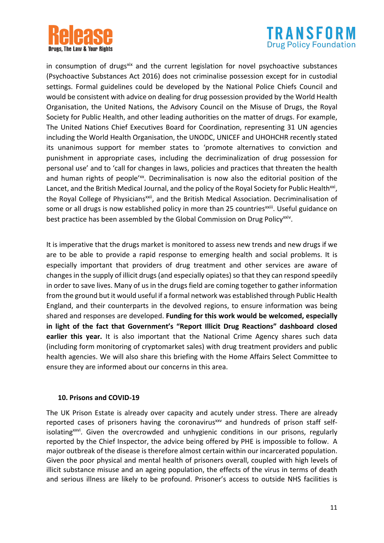



in consumption of drugs<sup>xix</sup> and the current legislation for novel psychoactive substances (Psychoactive Substances Act 2016) does not criminalise possession except for in custodial settings. Formal guidelines could be developed by the National Police Chiefs Council and would be consistent with advice on dealing for drug possession provided by the World Health Organisation, the United Nations, the Advisory Council on the Misuse of Drugs, the Royal Society for Public Health, and other leading authorities on the matter of drugs. For example, The United Nations Chief Executives Board for Coordination, representing 31 UN agencies including the World Health Organisation, the UNODC, UNICEF and UHOHCHR recently stated its unanimous support for member states to 'promote alternatives to conviction and punishment in appropriate cases, including the decriminalization of drug possession for personal use' and to 'call for changes in laws, policies and practices that threaten the health and human rights of people'<sup>xx</sup>. Decriminalisation is now also the editorial position of the Lancet, and the British Medical Journal, and the policy of the Royal Society for Public Health<sup>xxi</sup>, the Royal College of Physicians<sup>xxii</sup>, and the British Medical Association. Decriminalisation of some or all drugs is now established policy in more than 25 countries<sup>xxiii</sup>. Useful guidance on best practice has been assembled by the Global Commission on Drug Policy<sup>xxiv</sup>.

It is imperative that the drugs market is monitored to assess new trends and new drugs if we are to be able to provide a rapid response to emerging health and social problems. It is especially important that providers of drug treatment and other services are aware of changes in the supply of illicit drugs (and especially opiates) so that they can respond speedily in order to save lives. Many of us in the drugs field are coming together to gather information from the ground but it would useful if a formal network was established through Public Health England, and their counterparts in the devolved regions, to ensure information was being shared and responses are developed. **Funding for this work would be welcomed, especially in light of the fact that Government's "Report Illicit Drug Reactions" dashboard closed earlier this year.** It is also important that the National Crime Agency shares such data (including form monitoring of cryptomarket sales) with drug treatment providers and public health agencies. We will also share this briefing with the Home Affairs Select Committee to ensure they are informed about our concerns in this area.

#### **10. Prisons and COVID-19**

The UK Prison Estate is already over capacity and acutely under stress. There are already reported cases of prisoners having the coronavirus<sup>xxv</sup> and hundreds of prison staff selfisolating<sup>xxvi</sup>. Given the overcrowded and unhygienic conditions in our prisons, regularly reported by the Chief Inspector, the advice being offered by PHE is impossible to follow. A major outbreak of the disease is therefore almost certain within our incarcerated population. Given the poor physical and mental health of prisoners overall, coupled with high levels of illicit substance misuse and an ageing population, the effects of the virus in terms of death and serious illness are likely to be profound. Prisoner's access to outside NHS facilities is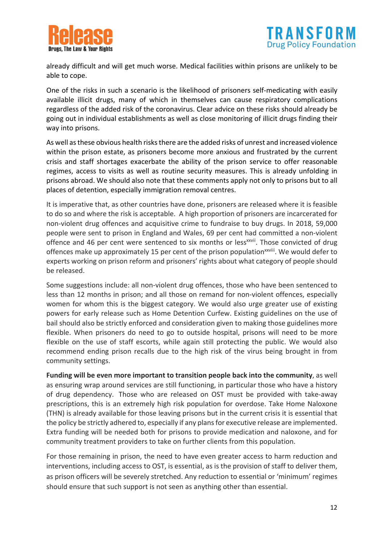



already difficult and will get much worse. Medical facilities within prisons are unlikely to be able to cope.

One of the risks in such a scenario is the likelihood of prisoners self-medicating with easily available illicit drugs, many of which in themselves can cause respiratory complications regardless of the added risk of the coronavirus. Clear advice on these risks should already be going out in individual establishments as well as close monitoring of illicit drugs finding their way into prisons.

As well as these obvious health risks there are the added risks of unrest and increased violence within the prison estate, as prisoners become more anxious and frustrated by the current crisis and staff shortages exacerbate the ability of the prison service to offer reasonable regimes, access to visits as well as routine security measures. This is already unfolding in prisons abroad. We should also note that these comments apply not only to prisons but to all places of detention, especially immigration removal centres.

It is imperative that, as other countries have done, prisoners are released where it is feasible to do so and where the risk is acceptable. A high proportion of prisoners are incarcerated for non-violent drug offences and acquisitive crime to fundraise to buy drugs. In 2018, 59,000 people were sent to prison in England and Wales, 69 per cent had committed a non-violent offence and 46 per cent were sentenced to six months or less<sup>xxvii</sup>. Those convicted of drug offences make up approximately 15 per cent of the prison population<sup>xxviii</sup>. We would defer to experts working on prison reform and prisoners' rights about what category of people should be released.

Some suggestions include: all non-violent drug offences, those who have been sentenced to less than 12 months in prison; and all those on remand for non-violent offences, especially women for whom this is the biggest category. We would also urge greater use of existing powers for early release such as Home Detention Curfew. Existing guidelines on the use of bail should also be strictly enforced and consideration given to making those guidelines more flexible. When prisoners do need to go to outside hospital, prisons will need to be more flexible on the use of staff escorts, while again still protecting the public. We would also recommend ending prison recalls due to the high risk of the virus being brought in from community settings.

**Funding will be even more important to transition people back into the community**, as well as ensuring wrap around services are still functioning, in particular those who have a history of drug dependency. Those who are released on OST must be provided with take-away prescriptions, this is an extremely high risk population for overdose. Take Home Naloxone (THN) is already available for those leaving prisons but in the current crisis it is essential that the policy be strictly adhered to, especially if any plans for executive release are implemented. Extra funding will be needed both for prisons to provide medication and naloxone, and for community treatment providers to take on further clients from this population.

For those remaining in prison, the need to have even greater access to harm reduction and interventions, including access to OST, is essential, as is the provision of staff to deliver them, as prison officers will be severely stretched. Any reduction to essential or 'minimum' regimes should ensure that such support is not seen as anything other than essential.